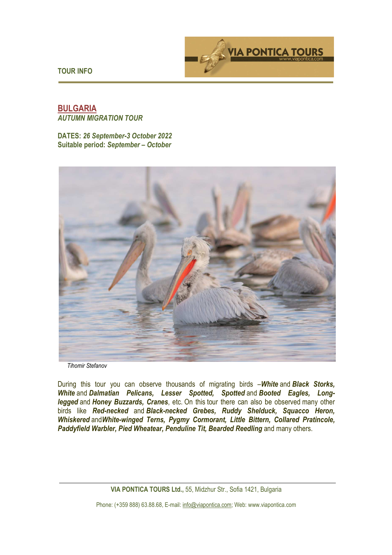



## **BULGARIA**  *AUTUMN MIGRATION TOUR*

**DATES:** *26 September-3 October 2022*  **Suitable period:** *September – October* 



*Tihomir Stefanov*

During this tour you can observe thousands of migrating birds –*White* and *Black Storks, White* and *Dalmatian Pelicans, Lesser Spotted, Spotted* and *Booted Eagles, Longlegged* and *Honey Buzzards, Cranes*, etc. On this tour there can also be observed many other birds like *Red-necked* and *Black-necked Grebes, Ruddy Shelduck, Squacco Heron, Whiskered* and*White-winged Terns, Pygmy Cormorant, Little Bittern, Collared Pratincole,*  **Paddyfield Warbler, Pied Wheatear, Penduline Tit, Bearded Reedling and many others.** 

**VIA PONTICA TOURS Ltd.,** 55, Midzhur Str., Sofia 1421, Bulgaria

Phone: (+359 888) 63.88.68, E-mail: info@viapontica.com; Web: www.viapontica.com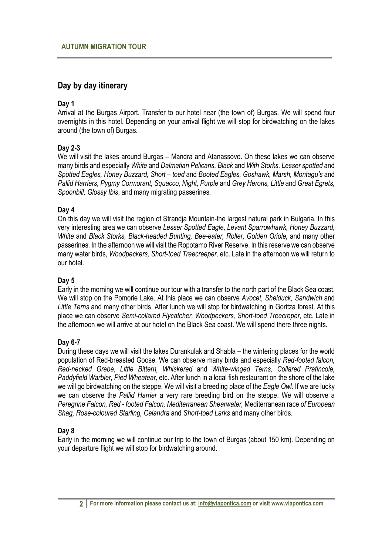# **Day by day itinerary**

## **Day 1**

Arrival at the Burgas Airport. Transfer to our hotel near (the town of) Burgas. We will spend four overnights in this hotel. Depending on your arrival flight we will stop for birdwatching on the lakes around (the town of) Burgas.

## **Day 2-3**

We will visit the lakes around Burgas – Mandra and Atanassovo. On these lakes we can observe many birds and especially *White* and *Dalmatian Pelicans, Black* and *With Storks, Lesser spotted* and *Spotted Eagles, Honey Buzzard, Short – toed* and *Booted Eagles, Goshawk, Marsh, Montagu's* and *Pallid Harriers, Pygmy Cormorant, Squacco, Night, Purple* and *Grey Herons, Little* and *Great Egrets, Spoonbill, Glossy Ibis*, and many migrating passerines.

### **Day 4**

On this day we will visit the region of Strandja Mountain-the largest natural park in Bulgaria. In this very interesting area we can observe *Lesser Spotted Eagle, Levant Sparrowhawk, Honey Buzzard, White* and *Black Storks, Black-headed Bunting, Bee-eater, Roller, Golden Oriole,* and many other passerines. In the afternoon we will visit the Ropotamo River Reserve. In this reserve we can observe many water birds, *Woodpeckers, Short-toed Treecreeper,* etc. Late in the afternoon we will return to our hotel.

#### **Day 5**

Early in the morning we will continue our tour with a transfer to the north part of the Black Sea coast. We will stop on the Pomorie Lake. At this place we can observe *Avocet, Shelduck, Sandwich* and *Little Terns* and many other birds. After lunch we will stop for birdwatching in Goritza forest. At this place we can observe *Semi-collared Flycatcher, Woodpeckers, Short-toed Treecreper,* etc. Late in the afternoon we will arrive at our hotel on the Black Sea coast. We will spend there three nights.

## **Day 6-7**

During these days we will visit the lakes Durankulak and Shabla – the wintering places for the world population of Red-breasted Goose. We can observe many birds and especially *Red-footed falcon, Red-necked Grebe, Little Bittern, Whiskered* and *White-winged Terns, Collared Pratincole, Paddyfield Warbler, Pied Wheatear,* etc. After lunch in a local fish restaurant on the shore of the lake we will go birdwatching on the steppe. We will visit a breeding place of the *Eagle Owl.* If we are lucky we can observe the *Pallid Harrier* a very rare breeding bird on the steppe. We will observe a *Peregrine Falcon, Red - footed Falcon, Mediterranean Shearwater,* Mediterranean race *of European Shag, Rose-coloured Starling, Calandra* and *Short-toed Larks* and many other birds.

## **Day 8**

Early in the morning we will continue our trip to the town of Burgas (about 150 km). Depending on your departure flight we will stop for birdwatching around.